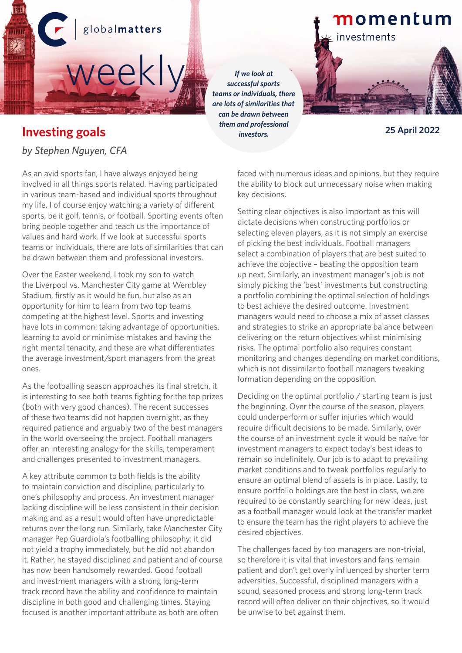

#### *successful sports teams or individuals, there are lots of similarities that can be drawn between them and professional investors.* **25 April 2022**

## momentum

investments

## **Investing goals**

*by Stephen Nguyen, CFA*

As an avid sports fan, I have always enjoyed being involved in all things sports related. Having participated in various team-based and individual sports throughout my life, I of course enjoy watching a variety of different sports, be it golf, tennis, or football. Sporting events often bring people together and teach us the importance of values and hard work. If we look at successful sports teams or individuals, there are lots of similarities that can be drawn between them and professional investors.

Over the Easter weekend, I took my son to watch the Liverpool vs. Manchester City game at Wembley Stadium, firstly as it would be fun, but also as an opportunity for him to learn from two top teams competing at the highest level. Sports and investing have lots in common: taking advantage of opportunities, learning to avoid or minimise mistakes and having the right mental tenacity, and these are what differentiates the average investment/sport managers from the great ones.

As the footballing season approaches its final stretch, it is interesting to see both teams fighting for the top prizes (both with very good chances). The recent successes of these two teams did not happen overnight, as they required patience and arguably two of the best managers in the world overseeing the project. Football managers offer an interesting analogy for the skills, temperament and challenges presented to investment managers.

A key attribute common to both fields is the ability to maintain conviction and discipline, particularly to one's philosophy and process. An investment manager lacking discipline will be less consistent in their decision making and as a result would often have unpredictable returns over the long run. Similarly, take Manchester City manager Pep Guardiola's footballing philosophy: it did not yield a trophy immediately, but he did not abandon it. Rather, he stayed disciplined and patient and of course has now been handsomely rewarded. Good football and investment managers with a strong long-term track record have the ability and confidence to maintain discipline in both good and challenging times. Staying focused is another important attribute as both are often

faced with numerous ideas and opinions, but they require the ability to block out unnecessary noise when making key decisions.

Setting clear objectives is also important as this will dictate decisions when constructing portfolios or selecting eleven players, as it is not simply an exercise of picking the best individuals. Football managers select a combination of players that are best suited to achieve the objective – beating the opposition team up next. Similarly, an investment manager's job is not simply picking the 'best' investments but constructing a portfolio combining the optimal selection of holdings to best achieve the desired outcome. Investment managers would need to choose a mix of asset classes and strategies to strike an appropriate balance between delivering on the return objectives whilst minimising risks. The optimal portfolio also requires constant monitoring and changes depending on market conditions, which is not dissimilar to football managers tweaking formation depending on the opposition.

Deciding on the optimal portfolio / starting team is just the beginning. Over the course of the season, players could underperform or suffer injuries which would require difficult decisions to be made. Similarly, over the course of an investment cycle it would be naïve for investment managers to expect today's best ideas to remain so indefinitely. Our job is to adapt to prevailing market conditions and to tweak portfolios regularly to ensure an optimal blend of assets is in place. Lastly, to ensure portfolio holdings are the best in class, we are required to be constantly searching for new ideas, just as a football manager would look at the transfer market to ensure the team has the right players to achieve the desired objectives.

The challenges faced by top managers are non-trivial, so therefore it is vital that investors and fans remain patient and don't get overly influenced by shorter term adversities. Successful, disciplined managers with a sound, seasoned process and strong long-term track record will often deliver on their objectives, so it would be unwise to bet against them.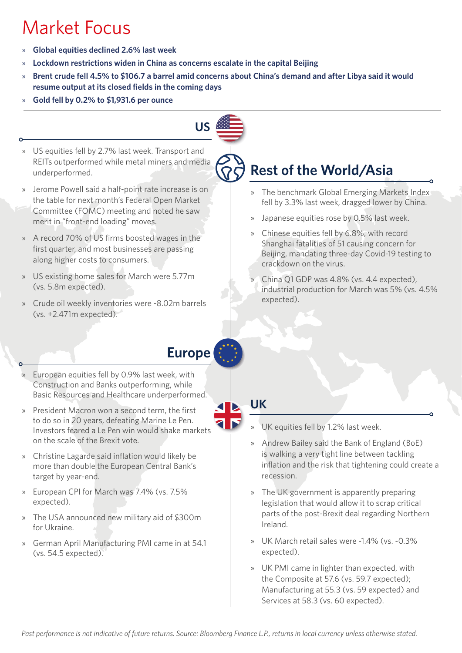# Market Focus

- » **Global equities declined 2.6% last week**
- » **Lockdown restrictions widen in China as concerns escalate in the capital Beijing**
- » **Brent crude fell 4.5% to \$106.7 a barrel amid concerns about China's demand and after Libya said it would resume output at its closed fields in the coming days**
- » **Gold fell by 0.2% to \$1,931.6 per ounce**



- » US equities fell by 2.7% last week. Transport and REITs outperformed while metal miners and media underperformed.
- » Jerome Powell said a half-point rate increase is on the table for next month's Federal Open Market Committee (FOMC) meeting and noted he saw merit in "front-end loading" moves.
- » A record 70% of US firms boosted wages in the first quarter, and most businesses are passing along higher costs to consumers.
- » US existing home sales for March were 5.77m (vs. 5.8m expected).
- » Crude oil weekly inventories were -8.02m barrels (vs. +2.471m expected).

## **Rest of the World/Asia**

- » The benchmark Global Emerging Markets Index fell by 3.3% last week, dragged lower by China.
- » Japanese equities rose by 0.5% last week.
- » Chinese equities fell by 6.8%, with record Shanghai fatalities of 51 causing concern for Beijing, mandating three-day Covid-19 testing to crackdown on the virus.
- China Q1 GDP was 4.8% (vs. 4.4 expected), industrial production for March was 5% (vs. 4.5% expected).

## **Europe**

- » European equities fell by 0.9% last week, with Construction and Banks outperforming, while Basic Resources and Healthcare underperformed.
- » President Macron won a second term, the first to do so in 20 years, defeating Marine Le Pen. Investors feared a Le Pen win would shake markets on the scale of the Brexit vote.
- » Christine Lagarde said inflation would likely be more than double the European Central Bank's target by year-end.
- » European CPI for March was 7.4% (vs. 7.5% expected).
- » The USA announced new military aid of \$300m for Ukraine.
- » German April Manufacturing PMI came in at 54.1 (vs. 54.5 expected).

### **UK**

- » UK equities fell by 1.2% last week.
- » Andrew Bailey said the Bank of England (BoE) is walking a very tight line between tackling inflation and the risk that tightening could create a recession.
- » The UK government is apparently preparing legislation that would allow it to scrap critical parts of the post-Brexit deal regarding Northern Ireland.
- » UK March retail sales were -1.4% (vs. -0.3% expected).
- » UK PMI came in lighter than expected, with the Composite at 57.6 (vs. 59.7 expected); Manufacturing at 55.3 (vs. 59 expected) and Services at 58.3 (vs. 60 expected).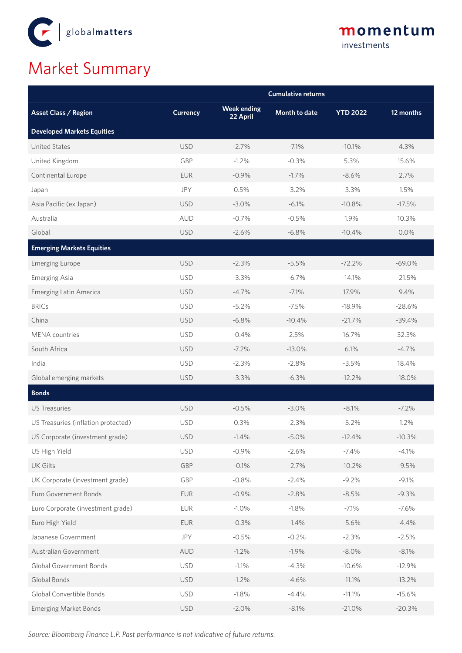

### momentum investments

# Market Summary

|                                     | <b>Cumulative returns</b> |                                |               |                 |           |  |  |
|-------------------------------------|---------------------------|--------------------------------|---------------|-----------------|-----------|--|--|
| <b>Asset Class / Region</b>         | <b>Currency</b>           | <b>Week ending</b><br>22 April | Month to date | <b>YTD 2022</b> | 12 months |  |  |
| <b>Developed Markets Equities</b>   |                           |                                |               |                 |           |  |  |
| <b>United States</b>                | <b>USD</b>                | $-2.7%$                        | $-7.1%$       | $-10.1%$        | 4.3%      |  |  |
| United Kingdom                      | GBP                       | $-1.2%$                        | $-0.3%$       | 5.3%            | 15.6%     |  |  |
| Continental Europe                  | <b>EUR</b>                | $-0.9%$                        | $-1.7%$       | $-8.6%$         | 2.7%      |  |  |
| Japan                               | <b>JPY</b>                | 0.5%                           | $-3.2%$       | $-3.3%$         | 1.5%      |  |  |
| Asia Pacific (ex Japan)             | <b>USD</b>                | $-3.0\%$                       | $-6.1%$       | $-10.8%$        | $-17.5%$  |  |  |
| Australia                           | <b>AUD</b>                | $-0.7%$                        | $-0.5%$       | 1.9%            | 10.3%     |  |  |
| Global                              | <b>USD</b>                | $-2.6%$                        | $-6.8%$       | $-10.4%$        | 0.0%      |  |  |
| <b>Emerging Markets Equities</b>    |                           |                                |               |                 |           |  |  |
| <b>Emerging Europe</b>              | <b>USD</b>                | $-2.3%$                        | $-5.5%$       | $-72.2%$        | $-69.0%$  |  |  |
| <b>Emerging Asia</b>                | <b>USD</b>                | $-3.3%$                        | $-6.7%$       | $-14.1%$        | $-21.5%$  |  |  |
| <b>Emerging Latin America</b>       | <b>USD</b>                | $-4.7%$                        | $-7.1%$       | 17.9%           | 9.4%      |  |  |
| <b>BRICs</b>                        | <b>USD</b>                | $-5.2%$                        | $-7.5%$       | $-18.9%$        | $-28.6%$  |  |  |
| China                               | <b>USD</b>                | $-6.8%$                        | $-10.4%$      | $-21.7%$        | $-39.4%$  |  |  |
| <b>MENA</b> countries               | <b>USD</b>                | $-0.4%$                        | 2.5%          | 16.7%           | 32.3%     |  |  |
| South Africa                        | <b>USD</b>                | $-7.2\%$                       | $-13.0%$      | 6.1%            | $-4.7%$   |  |  |
| India                               | <b>USD</b>                | $-2.3%$                        | $-2.8%$       | $-3.5%$         | 18.4%     |  |  |
| Global emerging markets             | <b>USD</b>                | $-3.3%$                        | $-6.3%$       | $-12.2%$        | $-18.0%$  |  |  |
| <b>Bonds</b>                        |                           |                                |               |                 |           |  |  |
| <b>US Treasuries</b>                | <b>USD</b>                | $-0.5%$                        | $-3.0%$       | $-8.1%$         | $-7.2%$   |  |  |
| US Treasuries (inflation protected) | <b>USD</b>                | 0.3%                           | $-2.3%$       | $-5.2%$         | 1.2%      |  |  |
| US Corporate (investment grade)     | <b>USD</b>                | $-1.4%$                        | $-5.0\%$      | $-12.4%$        | $-10.3%$  |  |  |
| US High Yield                       | <b>USD</b>                | $-0.9%$                        | $-2.6%$       | $-7.4%$         | $-4.1%$   |  |  |
| <b>UK Gilts</b>                     | GBP                       | $-0.1%$                        | $-2.7%$       | $-10.2%$        | $-9.5%$   |  |  |
| UK Corporate (investment grade)     | GBP                       | $-0.8%$                        | $-2.4%$       | $-9.2%$         | $-9.1%$   |  |  |
| Euro Government Bonds               | <b>EUR</b>                | $-0.9%$                        | $-2.8%$       | $-8.5%$         | $-9.3%$   |  |  |
| Euro Corporate (investment grade)   | <b>EUR</b>                | $-1.0%$                        | $-1.8%$       | $-7.1%$         | $-7.6%$   |  |  |
| Euro High Yield                     | <b>EUR</b>                | $-0.3%$                        | $-1.4%$       | $-5.6%$         | $-4.4%$   |  |  |
| Japanese Government                 | JPY                       | $-0.5%$                        | $-0.2%$       | $-2.3%$         | $-2.5%$   |  |  |
| Australian Government               | <b>AUD</b>                | $-1.2%$                        | $-1.9%$       | $-8.0%$         | $-8.1%$   |  |  |
| Global Government Bonds             | <b>USD</b>                | $-1.1%$                        | $-4.3%$       | $-10.6%$        | $-12.9%$  |  |  |
| Global Bonds                        | <b>USD</b>                | $-1.2%$                        | $-4.6%$       | $-11.1%$        | $-13.2%$  |  |  |
| Global Convertible Bonds            | <b>USD</b>                | $-1.8%$                        | $-4.4%$       | $-11.1%$        | $-15.6%$  |  |  |
| <b>Emerging Market Bonds</b>        | <b>USD</b>                | $-2.0%$                        | $-8.1%$       | $-21.0%$        | $-20.3%$  |  |  |

*Source: Bloomberg Finance L.P. Past performance is not indicative of future returns.*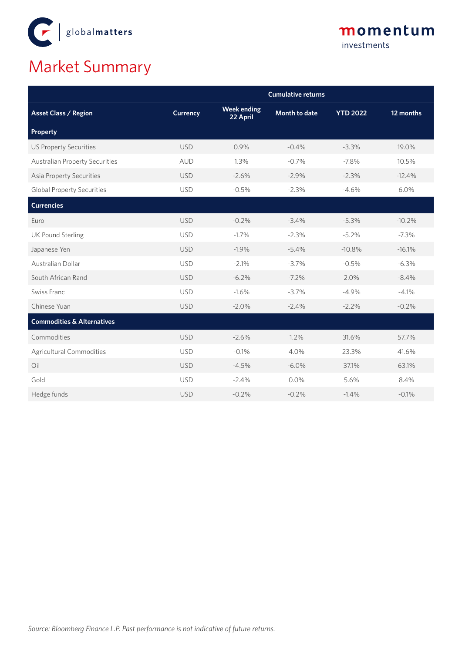

# Market Summary

|                                       | <b>Cumulative returns</b> |                                |                      |                 |           |  |
|---------------------------------------|---------------------------|--------------------------------|----------------------|-----------------|-----------|--|
| <b>Asset Class / Region</b>           | <b>Currency</b>           | <b>Week ending</b><br>22 April | <b>Month to date</b> | <b>YTD 2022</b> | 12 months |  |
| <b>Property</b>                       |                           |                                |                      |                 |           |  |
| <b>US Property Securities</b>         | <b>USD</b>                | 0.9%                           | $-0.4%$              | $-3.3%$         | 19.0%     |  |
| <b>Australian Property Securities</b> | <b>AUD</b>                | 1.3%                           | $-0.7%$              | $-7.8%$         | 10.5%     |  |
| <b>Asia Property Securities</b>       | <b>USD</b>                | $-2.6%$                        | $-2.9%$              | $-2.3%$         | $-12.4%$  |  |
| <b>Global Property Securities</b>     | <b>USD</b>                | $-0.5%$                        | $-2.3%$              | $-4.6%$         | 6.0%      |  |
| <b>Currencies</b>                     |                           |                                |                      |                 |           |  |
| Euro                                  | <b>USD</b>                | $-0.2%$                        | $-3.4%$              | $-5.3%$         | $-10.2%$  |  |
| <b>UK Pound Sterling</b>              | <b>USD</b>                | $-1.7%$                        | $-2.3%$              | $-5.2%$         | $-7.3%$   |  |
| Japanese Yen                          | <b>USD</b>                | $-1.9%$                        | $-5.4%$              | $-10.8%$        | $-16.1%$  |  |
| Australian Dollar                     | <b>USD</b>                | $-2.1%$                        | $-3.7%$              | $-0.5%$         | $-6.3%$   |  |
| South African Rand                    | <b>USD</b>                | $-6.2%$                        | $-7.2%$              | 2.0%            | $-8.4%$   |  |
| Swiss Franc                           | <b>USD</b>                | $-1.6%$                        | $-3.7%$              | $-4.9%$         | $-4.1%$   |  |
| Chinese Yuan                          | <b>USD</b>                | $-2.0%$                        | $-2.4%$              | $-2.2%$         | $-0.2%$   |  |
| <b>Commodities &amp; Alternatives</b> |                           |                                |                      |                 |           |  |
| Commodities                           | <b>USD</b>                | $-2.6%$                        | 1.2%                 | 31.6%           | 57.7%     |  |
| Agricultural Commodities              | <b>USD</b>                | $-0.1%$                        | 4.0%                 | 23.3%           | 41.6%     |  |
| Oil                                   | <b>USD</b>                | $-4.5%$                        | $-6.0%$              | 37.1%           | 63.1%     |  |
| Gold                                  | <b>USD</b>                | $-2.4%$                        | 0.0%                 | 5.6%            | 8.4%      |  |
| Hedge funds                           | <b>USD</b>                | $-0.2%$                        | $-0.2%$              | $-1.4%$         | $-0.1%$   |  |

momentum

investments